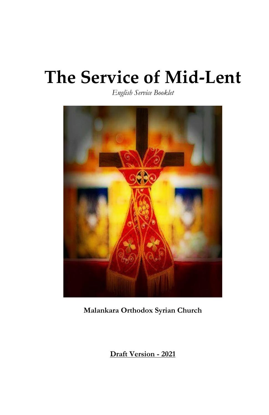# **The Service of Mid-Lent**

*English Service Booklet* 



**Malankara Orthodox Syrian Church** 

**Draft Version - 2021**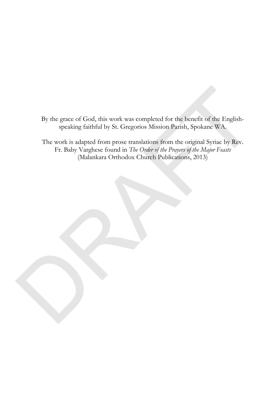By the grace of God, this work was completed for the benefit of the Englishspeaking faithful by St. Gregorios Mission Parish, Spokane WA.

By the grace of God, this work was completed for the benefit of the English-speaking faithful by St. Gregorios Mission Parish, Spokane WA.<br>The work is adapted from prose translations from the original Syriac by Rev.<br>Fr. B The work is adapted from prose translations from the original Syriac by Rev. Fr. Baby Varghese found in *The Order of the Prayers of the Major Feasts* (Malankara Orthodox Church Publications, 2013)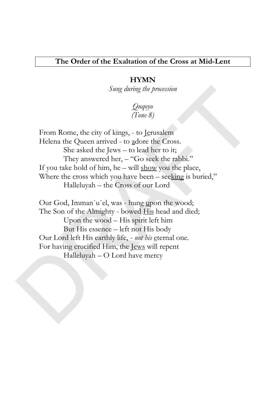# **The Order of the Exaltation of the Cross at Mid-Lent**

#### **HYMN**

*Sung during the procession* 

## *Quqoyo (Tone 8)*

Sung during the procession<br>  $\Omega_{Mqop}$ <br>
(Tone 8)<br>
From Rome, the city of kings, - to <u>le</u>rusalem<br>
Helena the Queen arrived - to adore the Cross.<br>
She asked the Jews – to lead her to it;<br>
They answered her, – "Go seek the r From Rome, the city of kings, - to Jerusalem Helena the Queen arrived - to adore the Cross. She asked the Jews – to lead her to it; They answered her, - "Go seek the rabbi." If you take hold of him, he  $-$  will show you the place, Where the cross which you have been – seeking is buried," Halleluyah – the Cross of our Lord

Our God, Imman`u`el, was - hung upon the wood; The Son of the Almighty - bowed His head and died; Upon the wood – His spirit left him But His essence – left not His body Our Lord left His earthly life, - *not his* eternal one. For having crucified Him, the Jews will repent Halleluyah – O Lord have mercy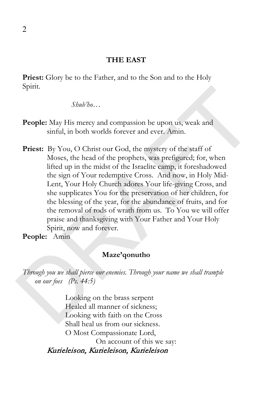#### **THE EAST**

**Priest:** Glory be to the Father, and to the Son and to the Holy Spirit.

*Shub'ho…* 

- **People:** May His mercy and compassion be upon us, weak and sinful, in both worlds forever and ever. Amin.
- *Shub'ho...*<br> **People:** May His mercy and compassion be upon us, weak and<br>
sinful, in both words forever and ever. Amin.<br> **Priest:** By You, O Christ our God, the mystery of the staff of<br>
Moses, the head of the prophets, w **Priest:** By You, O Christ our God, the mystery of the staff of Moses, the head of the prophets, was prefigured; for, when lifted up in the midst of the Israelite camp, it foreshadowed the sign of Your redemptive Cross. And now, in Holy Mid-Lent, Your Holy Church adores Your life-giving Cross, and she supplicates You for the preservation of her children, for the blessing of the year, for the abundance of fruits, and for the removal of rods of wrath from us. To You we will offer praise and thanksgiving with Your Father and Your Holy Spirit, now and forever.

**People:** Amin

#### **Maze'qonutho**

*Through you we shall pierce our enemies. Through your name we shall trample on our foes (Ps. 44:5)* 

> Looking on the brass serpent Healed all manner of sickness; Looking with faith on the Cross Shall heal us from our sickness. O Most Compassionate Lord, On account of this we say: Kurieleison, Kurieleison, Kurieleison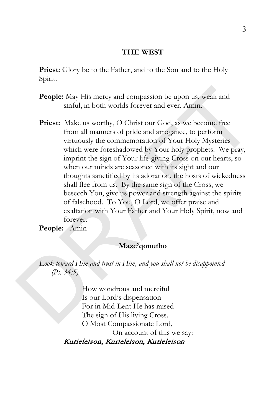#### **THE WEST**

**Priest:** Glory be to the Father, and to the Son and to the Holy Spirit.

- **People:** May His mercy and compassion be upon us, weak and sinful, in both worlds forever and ever. Amin.
- **People:** May His mercy and compassion be upon us, weak and<br>sinful, in both worlds forever and ever. Amin.<br>**Priest:** Make us worthy, O Christ our God, as we become free<br>from all manners of pride and arrogance, to perform<br> Priest: Make us worthy, O Christ our God, as we become free from all manners of pride and arrogance, to perform virtuously the commemoration of Your Holy Mysteries which were foreshadowed by Your holy prophets. We pray, imprint the sign of Your life-giving Cross on our hearts, so when our minds are seasoned with its sight and our thoughts sanctified by its adoration, the hosts of wickedness shall flee from us. By the same sign of the Cross, we beseech You, give us power and strength against the spirits of falsehood. To You, O Lord, we offer praise and exaltation with Your Father and Your Holy Spirit, now and forever.

**People:** Amin

#### **Maze'qonutho**

*Look toward Him and trust in Him, and you shall not be disappointed (Ps. 34:5)* 

> How wondrous and merciful Is our Lord's dispensation For in Mid-Lent He has raised The sign of His living Cross. O Most Compassionate Lord, On account of this we say: Kurieleison, Kurieleison, Kurieleison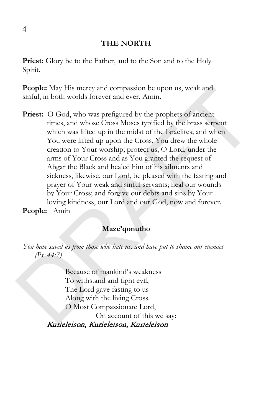#### **THE NORTH**

**Priest:** Glory be to the Father, and to the Son and to the Holy Spirit.

**People:** May His mercy and compassion be upon us, weak and sinful, in both worlds forever and ever. Amin.

**People:** May His mercy and compassion be upon us, weak and<br>sinful, in both worlds forever and ever. Amin.<br>**Priest:** O God, who was perfigured by the prophets of ancient<br>times, and whose Cross Moses typified by the brass **Priest:** O God, who was prefigured by the prophets of ancient times, and whose Cross Moses typified by the brass serpent which was lifted up in the midst of the Israelites; and when You were lifted up upon the Cross, You drew the whole creation to Your worship; protect us, O Lord, under the arms of Your Cross and as You granted the request of Abgar the Black and healed him of his ailments and sickness, likewise, our Lord, be pleased with the fasting and prayer of Your weak and sinful servants; heal our wounds by Your Cross; and forgive our debts and sins by Your loving kindness, our Lord and our God, now and forever. **People:** Amin

#### **Maze'qonutho**

*You have saved us from those who hate us, and have put to shame our enemies (Ps. 44:7)* 

> Because of mankind's weakness To withstand and fight evil, The Lord gave fasting to us Along with the living Cross. O Most Compassionate Lord, On account of this we say: Kurieleison, Kurieleison, Kurieleison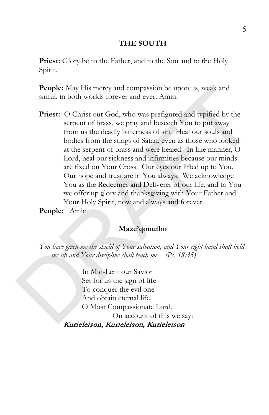#### **THE SOUTH**

**Priest:** Glory be to the Father, and to the Son and to the Holy Spirit.

**People:** May His mercy and compassion be upon us, weak and sinful, in both worlds forever and ever. Amin.

**People:** May His mercy and compassion be upon us, weak and<br>sinful, in both worlds forever and ever. Amin.<br>**Priest:** O Christ our God, who was prefigured You to put away<br>from us the deadly bittemess of sin. Heal our souls Priest: O Christ our God, who was prefigured and typified by the serpent of brass, we pray and beseech You to put away from us the deadly bitterness of sin. Heal our souls and bodies from the stings of Satan, even as those who looked at the serpent of brass and were healed. In like manner, O Lord, heal our sickness and infirmities because our minds are fixed on Your Cross. Our eyes our lifted up to You. Our hope and trust are in You always. We acknowledge You as the Redeemer and Deliverer of our life, and to You we offer up glory and thanksgiving with Your Father and Your Holy Spirit, now and always and forever.

**People:** Amin

#### **Maze'qonutho**

*You have given me the shield of Your salvation, and Your right hand shall hold me up and Your discipline shall teach me (Ps. 18:35)* 

> In Mid-Lent our Savior Set for us the sign of life To conquer the evil one And obtain eternal life. O Most Compassionate Lord, On account of this we say: Kurieleison, Kurieleison, Kurieleison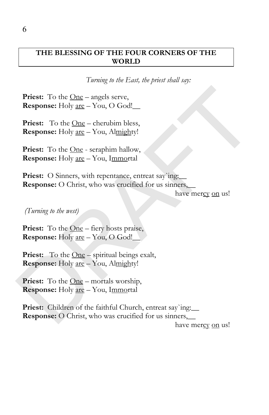#### **THE BLESSING OF THE FOUR CORNERS OF THE WORLD**

*Turning to the East, the priest shall say:* 

**Priest:** To the <u>One</u> – angels serve, **Response:** Holy <u>are</u> – You, O God!\_\_

**Priest:** To the <u>One</u> – cherubim bless, **Response:** Holy <u>are</u> – You, Almighty!

Priest: To the One - seraphim hallow, **Response:** Holy are – You, Immortal

**Priest:** O Sinners, with repentance, entreat say ing: **Response:** O Christ, who was crucified for us sinners,\_\_

have mercy on us!

 *(Turning to the west)* 

Priest: To the <u>One</u> – fiery hosts praise, **Response:** Holy are – You, O God!\_\_

**Priest:** To the One – spiritual beings exalt, **Response:** Holy <u>are</u> – You, Almighty!

**Priest:** To the <u>One</u> – mortals worship, **Response:** Holy <u>are</u> – You, Immortal

**Priest:** To the <u>One</u> – angels serve,<br> **Response:** Holy <u>are</u> – You, O God!<br> **Priest:** To the <u>One</u> – cherubim bless,<br> **Response:** Holy <u>are</u> – You, Almighty!<br> **Priest:** O Simers, with repentance, entreat say ing.<br> **Resp** Priest: Children of the faithful Church, entreat say`ing: **Response:** O Christ, who was crucified for us sinners,

have mercy on us!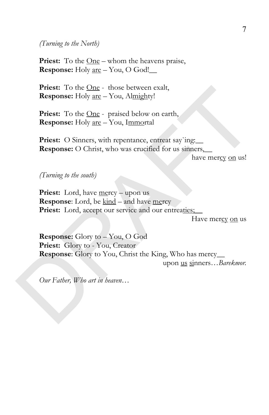#### *(Turning to the North)*

**Priest:** To the <u>One</u> – whom the heavens praise, **Response:** Holy <u>are</u> – You, O God!\_\_

**Priest:** To the <u>One</u> - those between exalt, **Response:** Holy <u>are</u> – You, Almighty!

**Priest:** To the One - praised below on earth, **Response:** Holy are – You, Immortal

**Priest:** O Sinners, with repentance, entreat say`ing: **Response:** O Christ, who was crucified for us sinners,

have mercy on us!

*(Turning to the south)* 

Priest: Lord, have mercy – upon us **Response**: Lord, be kind – and have mercy Priest: Lord, accept our service and our entreaties;

Have mercy on us

Priest: To the <u>One</u> - those between exalt,<br>
Response: Holy <u>are</u> - You, Almighty!<br>
Priest: To the <u>One</u> - praised below on earth,<br>
Response: Holy <u>are</u> - You, Immortal<br>
Priest: O Sinners, with repentance, entreat say ing **Response:** Glory to – You, O God Priest: Glory to - You, Creator **Response**: Glory to You, Christ the King, Who has mercy\_\_ upon us sinners…*Barekmor.*

*Our Father, Who art in heaven…*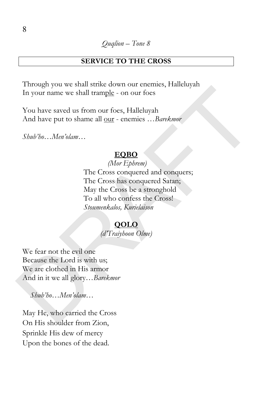### **SERVICE TO THE CROSS**

Through you we shall strike down our enemies, Halleluyah In your name we shall trample - on our foes

You have saved us from our foes, Halleluyah And have put to shame all <u>our</u> - enemies ... Barekmor

*Shub'ho…Men'olam…* 

#### **EQBO**

Finomeno we shall trample - on our foes<br>
You have saved us from our foes, Halleluyah<br>
And have put to shame all <u>our</u> - enemies ...*Barekmor*<br>
Shub'ho...Men'olam...<br>  $\underline{EOBO}$ <br>
(Mor Ephrem)<br>
The Cross conquered and conqu  *(Mor Ephrem)* The Cross conquered and conquers; The Cross has conquered Satan; May the Cross be a stronghold To all who confess the Cross! *Stoumenkalos, Kurielaison*

#### **QOLO**

*(d'Traiyhoon Olme)*

We fear not the evil one Because the Lord is with us; We are clothed in His armor And in it we all glory*…Barekmor*

 *Shub'ho…Men'olam…*

May He, who carried the Cross On His shoulder from Zion, Sprinkle His dew of mercy Upon the bones of the dead.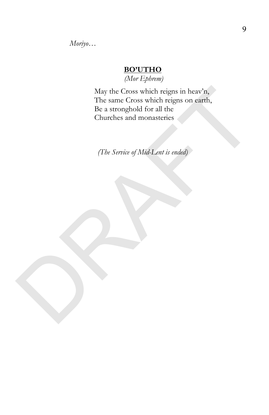$Mor<sub>i</sub>$ yo...

# **BO'UTHO**

(Mor Ephrem)

May the Cross which reigns in heav'n, The same Cross which reigns on earth, Be a stronghold for all the Churches and monasteries

(The Service of Mid-Lent is ended)